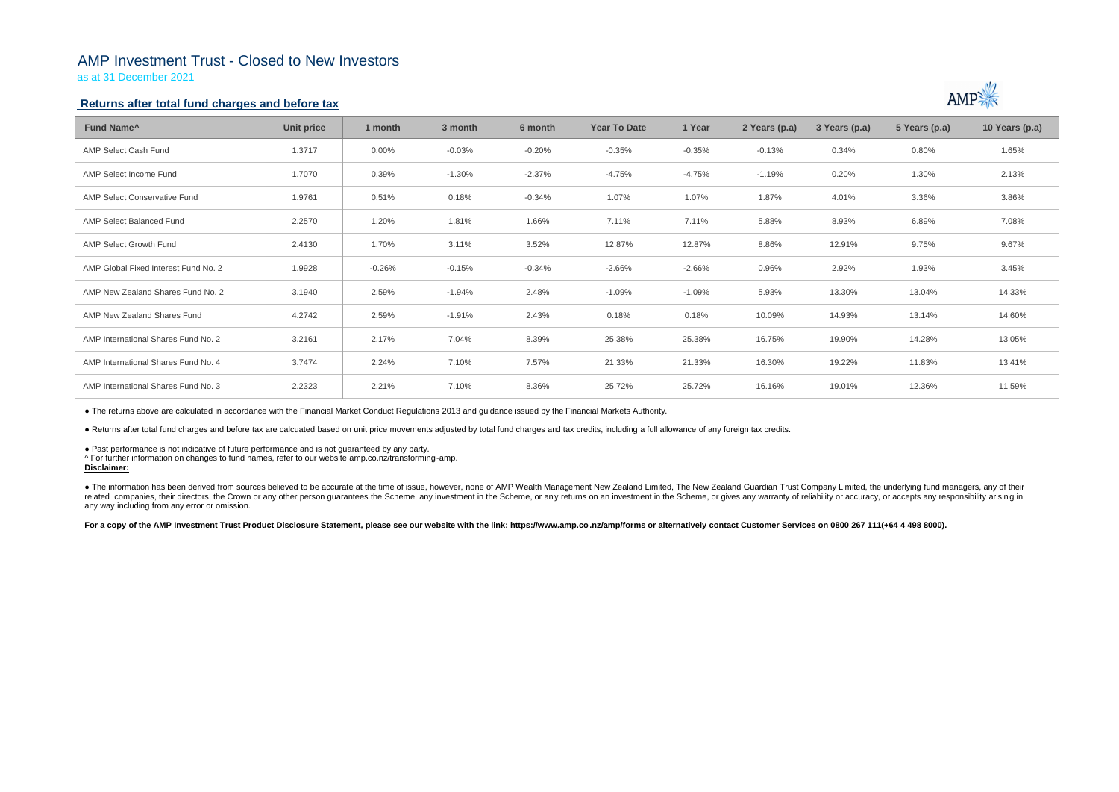# AMP Investment Trust - Closed to New Investors

as at 31 December 2021

### **Returns after total fund charges and before tax**

| Fund Name <sup>^</sup>               | <b>Unit price</b> | 1 month  | 3 month  | 6 month  | <b>Year To Date</b> | 1 Year   | 2 Years (p.a) | 3 Years (p.a) | 5 Years (p.a) | 10 Years (p.a) |
|--------------------------------------|-------------------|----------|----------|----------|---------------------|----------|---------------|---------------|---------------|----------------|
| AMP Select Cash Fund                 | 1.3717            | $0.00\%$ | $-0.03%$ | $-0.20%$ | $-0.35%$            | $-0.35%$ | $-0.13%$      | 0.34%         | 0.80%         | 1.65%          |
| AMP Select Income Fund               | 1.7070            | 0.39%    | $-1.30%$ | $-2.37%$ | $-4.75%$            | $-4.75%$ | $-1.19%$      | 0.20%         | 1.30%         | 2.13%          |
| AMP Select Conservative Fund         | 1.9761            | 0.51%    | 0.18%    | $-0.34%$ | 1.07%               | 1.07%    | 1.87%         | 4.01%         | 3.36%         | 3.86%          |
| AMP Select Balanced Fund             | 2.2570            | 1.20%    | 1.81%    | 1.66%    | 7.11%               | 7.11%    | 5.88%         | 8.93%         | 6.89%         | 7.08%          |
| <b>AMP Select Growth Fund</b>        | 2.4130            | 1.70%    | 3.11%    | 3.52%    | 12.87%              | 12.87%   | 8.86%         | 12.91%        | 9.75%         | 9.67%          |
| AMP Global Fixed Interest Fund No. 2 | 1.9928            | $-0.26%$ | $-0.15%$ | $-0.34%$ | $-2.66%$            | $-2.66%$ | 0.96%         | 2.92%         | 1.93%         | 3.45%          |
| AMP New Zealand Shares Fund No. 2    | 3.1940            | 2.59%    | $-1.94%$ | 2.48%    | $-1.09%$            | $-1.09%$ | 5.93%         | 13.30%        | 13.04%        | 14.33%         |
| AMP New Zealand Shares Fund          | 4.2742            | 2.59%    | $-1.91%$ | 2.43%    | 0.18%               | 0.18%    | 10.09%        | 14.93%        | 13.14%        | 14.60%         |
| AMP International Shares Fund No. 2  | 3.2161            | 2.17%    | 7.04%    | 8.39%    | 25.38%              | 25.38%   | 16.75%        | 19.90%        | 14.28%        | 13.05%         |
| AMP International Shares Fund No. 4  | 3.7474            | 2.24%    | 7.10%    | 7.57%    | 21.33%              | 21.33%   | 16.30%        | 19.22%        | 11.83%        | 13.41%         |
| AMP International Shares Fund No. 3  | 2.2323            | 2.21%    | 7.10%    | 8.36%    | 25.72%              | 25.72%   | 16.16%        | 19.01%        | 12.36%        | 11.59%         |

• The information has been derived from sources believed to be accurate at the time of issue, however, none of AMP Wealth Management New Zealand Limited, The New Zealand Guardian Trust Company Limited, the underlying fund related companies, their directors, the Crown or any other person quarantees the Scheme, any investment in the Scheme, or any returns on an investment in the Scheme, or gives any warranty of reliability or accuracy, or acc any way including from any error or omission.

For a copy of the AMP Investment Trust Product Disclosure Statement, please see our website with the link: https://www.amp.co.nz/amp/forms or alternatively contact Customer Services on 0800 267 111(+64 4 498 8000).



● The returns above are calculated in accordance with the Financial Market Conduct Regulations 2013 and guidance issued by the Financial Markets Authority.

● Returns after total fund charges and before tax are calcuated based on unit price movements adjusted by total fund charges and tax credits, including a full allowance of any foreign tax credits.

● Past performance is not indicative of future performance and is not guaranteed by any party.

^ For further information on changes to fund names, refer to our website amp.co.nz/transforming-amp.

## **Disclaimer:**